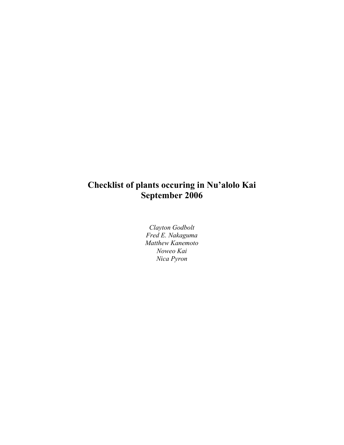# **Checklist of plants occuring in Nu'alolo Kai September 2006**

*Clayton Godbolt Fred E. Nakaguma Matthew Kanemoto Noweo Kai Nica Pyron*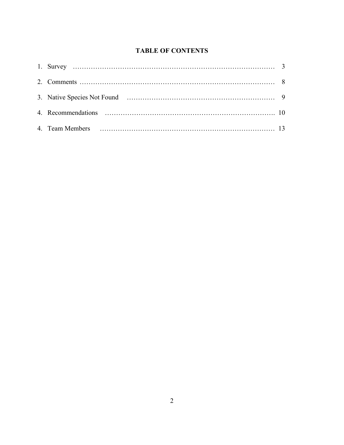# **TABLE OF CONTENTS**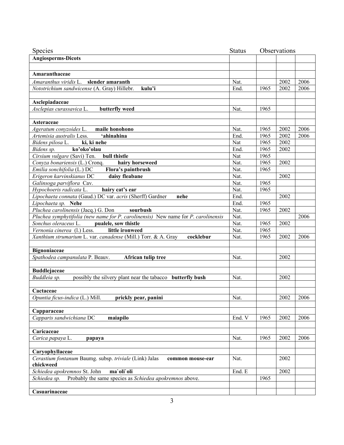| <b>Species</b>                                                                    | <b>Status</b> |      | Observations |      |
|-----------------------------------------------------------------------------------|---------------|------|--------------|------|
| <b>Angiosperms-Dicots</b>                                                         |               |      |              |      |
|                                                                                   |               |      |              |      |
| Amaranthaceae                                                                     |               |      |              |      |
| Amaranthus viridis L. slender amaranth                                            | Nat.          |      | 2002         | 2006 |
| kulu'i<br>Nototrichium sandwicense (A. Gray) Hillebr.                             | End.          | 1965 | 2002         | 2006 |
|                                                                                   |               |      |              |      |
| Asclepiadaceae                                                                    |               |      |              |      |
| Asclepias curassavica L.<br>butterfly weed                                        | Nat.          | 1965 |              |      |
|                                                                                   |               |      |              |      |
| Asteraceae                                                                        |               |      |              |      |
| Ageratum conyzoides L.<br>maile honohono                                          | Nat.          | 1965 | 2002         | 2006 |
| Artemisia australis Less.<br>'ahinahina                                           | End.          | 1965 | 2002         | 2006 |
| Bidens pilosa L.<br>ki, ki nehe                                                   | Nat           | 1965 | 2002         |      |
| Bidens sp.<br>ko'oko'olau                                                         | End.          | 1965 | 2002         |      |
| Cirsium vulgare (Savi) Ten.<br>bull thistle                                       | Nat           | 1965 |              |      |
| Conyza bonariensis (L.) Cronq.<br>hairy horseweed                                 | Nat.          | 1965 | 2002         |      |
| Emilia sonchifolia (L.) DC<br>Flora's paintbrush                                  | Nat.          | 1965 |              |      |
| Erigeron karvinskianus DC<br>daisy fleabane                                       | Nat.          |      | 2002         |      |
| Galinsoga parviflora Cav.                                                         | Nat.          | 1965 |              |      |
| Hypochoeris radicata L.<br>hairy cat's ear                                        | Nat.          | 1965 |              |      |
| Lipochaeta connata (Gaud.) DC var. acris (Sherff) Gardner<br>nehe                 | End.          |      | 2002         |      |
| Lipochaeta sp. Nehe                                                               | End.          | 1965 |              |      |
| Pluchea carolinensis (Jacq.) G. Don<br>sourbush                                   | Nat.          | 1965 | 2002         |      |
| Pluchea symphytifolia (new name for P. carolinensis) New name for P. carolinensis | Nat.          |      |              | 2006 |
| Sonchus oleraceus L.<br>pualele, sow thistle                                      | Nat.          | 1965 | 2002         |      |
| Vernonia cinerea (l.) Less.<br>little ironweed                                    | Nat.          | 1965 |              |      |
| Xanthium strumarium L. var. canadense (Mill.) Torr. & A. Gray<br>cocklebur        | Nat.          | 1965 | 2002         | 2006 |
|                                                                                   |               |      |              |      |
| <b>Bignoniaceae</b><br>Spathodea campanulata P. Beauv.                            |               |      | 2002         |      |
| African tulip tree                                                                | Nat.          |      |              |      |
| <b>Buddlejaceae</b>                                                               |               |      |              |      |
| possibly the silvery plant near the tabacco butterfly bush<br>Buddleia sp.        | Nat.          |      | 2002         |      |
|                                                                                   |               |      |              |      |
| Cactaceae                                                                         |               |      |              |      |
| Opuntia ficus-indica (L.) Mill.<br>prickly pear, panini                           | Nat.          |      | 2002         | 2006 |
|                                                                                   |               |      |              |      |
| Capparaceae                                                                       |               |      |              |      |
| Capparis sandwichiana $\overline{DC}$<br>maiapilo                                 | End. V        | 1965 | 2002         | 2006 |
|                                                                                   |               |      |              |      |
| Caricaceae                                                                        |               |      |              |      |
| Carica papaya L.<br>papaya                                                        | Nat.          | 1965 | 2002         | 2006 |
|                                                                                   |               |      |              |      |
| Caryophyllaceae                                                                   |               |      |              |      |
| Cerastium fontanum Baumg. subsp. triviale (Link) Jalas<br>common mouse-ear        | Nat.          |      | 2002         |      |
| chickweed                                                                         |               |      |              |      |
| Schiedea apokremnos St. John<br>ma'oli'oli                                        | End. E        |      | 2002         |      |
| Probably the same species as Schiedea apokremnos above.<br>Schiedea sp.           |               | 1965 |              |      |
|                                                                                   |               |      |              |      |
| Casuarinaceae                                                                     |               |      |              |      |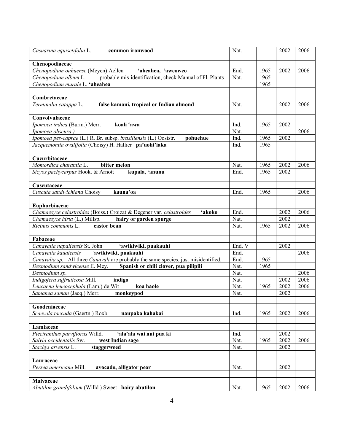| Casuarina equisetifolia L.<br>common ironwood                                       | Nat.   |      | 2002 | 2006 |
|-------------------------------------------------------------------------------------|--------|------|------|------|
|                                                                                     |        |      |      |      |
| Chenopodiaceae                                                                      |        |      |      |      |
| Chenopodium oahuense (Meyen) Aellen<br>'aheahea, 'aweoweo                           | End.   | 1965 | 2002 | 2006 |
| probable mis-identification, check Manual of Fl. Plants<br>Chenopodium album L.     | Nat.   | 1965 |      |      |
| Chenopodium murale L. 'aheahea                                                      |        | 1965 |      |      |
|                                                                                     |        |      |      |      |
| Combretaceae                                                                        |        |      |      |      |
| Terminalia catappa L.<br>false kamani, tropical or Indian almond                    | Nat.   |      | 2002 | 2006 |
|                                                                                     |        |      |      |      |
| Convolvulaceae                                                                      |        |      |      |      |
| Ipomoea indica (Burm.) Merr.<br>koali 'awa                                          | Ind.   | 1965 | 2002 |      |
| Ipomoea obscura)                                                                    | Nat.   |      |      | 2006 |
| Ipomoea pes-caprae (L.) R. Br. subsp. brasiliensis (L.) Ooststr.<br>pohuehue        | Ind.   | 1965 | 2002 |      |
| Jacquemontia ovalifolia (Choisy) H. Hallier pa'uohi'iaka                            | Ind.   | 1965 |      |      |
|                                                                                     |        |      |      |      |
| Cucurbitaceae                                                                       |        |      |      |      |
| Momordica charantia L.<br>bitter melon                                              | Nat.   | 1965 | 2002 | 2006 |
| Sicyos pachycarpus Hook. & Arnott<br>kupala, 'anunu                                 | End.   | 1965 | 2002 |      |
|                                                                                     |        |      |      |      |
| Cuscutaceae                                                                         |        |      |      |      |
| Cuscuta sandwichiana Choisy<br>kauna'oa                                             | End.   | 1965 |      | 2006 |
|                                                                                     |        |      |      |      |
| Euphorbiaceae                                                                       |        |      |      |      |
| Chamaesyce celastroides (Boiss.) Croizat & Degener var. celastroides<br>'akoko      | End.   |      | 2002 | 2006 |
| Chamaesyce hirta (L.) Millsp.<br>hairy or garden spurge                             | Nat.   |      | 2002 |      |
| castor bean<br>Ricinus communis L.                                                  | Nat.   | 1965 | 2002 | 2006 |
|                                                                                     |        |      |      |      |
| Fabaceae                                                                            |        |      |      |      |
| Canavalia napaliensis St. John<br>ʻawikiwiki, puakauhi                              | End. V |      | 2002 |      |
| `awikiwiki, puakauhi<br>Canavalia kauaiensis                                        | End.   |      |      | 2006 |
| Canavalia sp. All three Canavali are probably the same species, just misidentified. | End.   | 1965 |      |      |
| Desmodium sandwicense E. Mey. Spanish or chili clover, pua pilipili                 | Nat.   | 1965 |      |      |
| Desmodium sp.                                                                       | Nat.   |      |      | 2006 |
| Indigofera suffruticosa Mill.<br>indigo                                             | Nat.   |      | 2002 | 2006 |
| Leucaena leucocephala (Lam.) de Wit<br>koa haole                                    | Nat.   | 1965 | 2002 | 2006 |
| monkeypod<br>Samanea saman (Jacq.) Merr.                                            | Nat.   |      | 2002 |      |
|                                                                                     |        |      |      |      |
| Goodeniaceae                                                                        |        |      |      |      |
| Scaevola taccada (Gaertn.) Roxb.<br>naupaka kahakai                                 | Ind.   | 1965 | 2002 | 2006 |
|                                                                                     |        |      |      |      |
| Lamiaceae                                                                           |        |      |      |      |
| Plectranthus parviflorus Willd.<br>'ala'ala wai nui pua ki                          | Ind.   |      | 2002 |      |
| Salvia occidentalis Sw.<br>west Indian sage                                         | Nat.   | 1965 | 2002 | 2006 |
| Stachys arvensis L.<br>staggerweed                                                  | Nat.   |      | 2002 |      |
|                                                                                     |        |      |      |      |
| Lauraceae                                                                           |        |      |      |      |
| Persea americana Mill.<br>avocado, alligator pear                                   | Nat.   |      | 2002 |      |
|                                                                                     |        |      |      |      |
| Malvaceae                                                                           |        |      |      |      |
| Abutilon grandifolium (Willd.) Sweet hairy abutilon                                 | Nat.   | 1965 | 2002 | 2006 |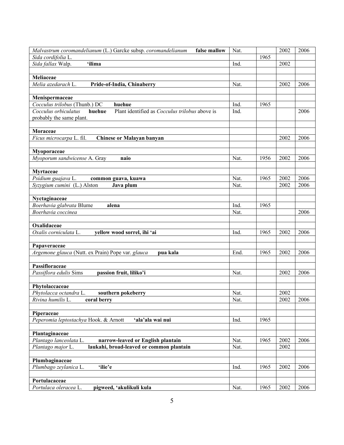| Malvastrum coromandelianum (L.) Garcke subsp. coromandelianum<br>false mallow           | Nat. |      | 2002 | 2006 |
|-----------------------------------------------------------------------------------------|------|------|------|------|
| Sida cordifolia L.                                                                      |      | 1965 |      |      |
| Sida fallax Walp.<br>'ilima                                                             | Ind. |      | 2002 |      |
|                                                                                         |      |      |      |      |
| Meliaceae                                                                               |      |      |      |      |
| Melia azedarach L.<br>Pride-of-India, Chinaberry                                        | Nat. |      | 2002 | 2006 |
|                                                                                         |      |      |      |      |
| <b>Menispermaceae</b>                                                                   |      |      |      |      |
| Cocculus trilobus (Thunb.) DC<br>huehue                                                 | Ind. | 1965 |      |      |
| huehue<br>Plant identified as <i>Cocculus trilobus</i> above is<br>Cocculus orbiculatus | Ind. |      |      | 2006 |
| probably the same plant.                                                                |      |      |      |      |
|                                                                                         |      |      |      |      |
| Moraceae                                                                                |      |      |      |      |
| Ficus microcarpa L. fil.<br><b>Chinese or Malayan banyan</b>                            |      |      | 2002 | 2006 |
|                                                                                         |      |      |      |      |
| Myoporaceae                                                                             |      |      |      |      |
| Myoporum sandwicense A. Gray<br>naio                                                    | Nat. | 1956 | 2002 | 2006 |
|                                                                                         |      |      |      |      |
| <b>Myrtaceae</b>                                                                        |      |      |      |      |
| Psidium guajava L.<br>common guava, kuawa                                               | Nat. | 1965 | 2002 | 2006 |
| Syzygium cumini (L.) Alston<br>Java plum                                                | Nat. |      | 2002 | 2006 |
|                                                                                         |      |      |      |      |
| Nyctaginaceae                                                                           |      |      |      |      |
| Boerhavia glabrata Blume<br>alena<br>Boerhavia coccinea                                 | Ind. | 1965 |      |      |
|                                                                                         | Nat. |      |      | 2006 |
| Oxalidaceae                                                                             |      |      |      |      |
| Oxalis corniculata L.<br>yellow wood sorrel, ihi 'ai                                    | Ind. | 1965 | 2002 | 2006 |
|                                                                                         |      |      |      |      |
| Papaveraceae                                                                            |      |      |      |      |
| Argemone glauca (Nutt. ex Prain) Pope var. glauca<br>pua kala                           | End. | 1965 | 2002 | 2006 |
|                                                                                         |      |      |      |      |
| Passifloraceae                                                                          |      |      |      |      |
| Passiflora edulis Sims<br>passion fruit, liliko'i                                       | Nat. |      | 2002 | 2006 |
|                                                                                         |      |      |      |      |
| Phytolaccaceae                                                                          |      |      |      |      |
| Phytolacca octandra L.<br>southern pokeberry                                            | Nat. |      | 2002 |      |
| Rivina humilis L.<br>coral berry                                                        | Nat. |      | 2002 | 2006 |
|                                                                                         |      |      |      |      |
| Piperaceae                                                                              |      |      |      |      |
| Peperomia leptostachya Hook. & Arnott<br>'ala'ala wai nui                               | Ind. | 1965 |      |      |
|                                                                                         |      |      |      |      |
| Plantaginaceae                                                                          |      |      |      |      |
| Plantago lanceolata L.<br>narrow-leaved or English plantain                             | Nat. | 1965 | 2002 | 2006 |
| laukahi, broad-leaved or common plantain<br>Plantago major L.                           | Nat. |      | 2002 |      |
|                                                                                         |      |      |      |      |
| Plumbaginaceae                                                                          |      |      |      |      |
| Plumbago zeylanica L.<br>'ilie'e                                                        | Ind. | 1965 | 2002 | 2006 |
|                                                                                         |      |      |      |      |
| Portulacaceae                                                                           |      |      |      |      |
| Portulaca oleracea L.<br>pigweed, 'akulikuli kula                                       | Nat. | 1965 | 2002 | 2006 |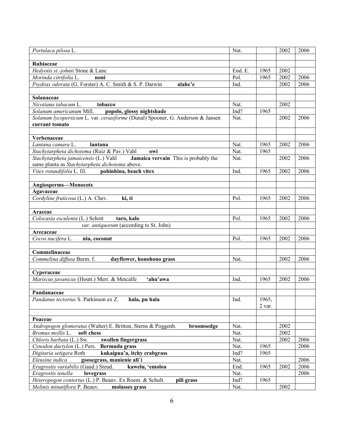| Portulaca pilosa L.                                                            | Nat.    |        | 2002 | 2006 |
|--------------------------------------------------------------------------------|---------|--------|------|------|
|                                                                                |         |        |      |      |
| Rubiaceae                                                                      |         |        |      |      |
| Hedyotis st.-johnii Stone & Lane                                               | End. E. | 1965   | 2002 |      |
| Morinda citrifolia L.<br>noni                                                  | Pol.    | 1965   | 2002 | 2006 |
| Psydrax odorata (G. Forster) A. C. Smith & S. P. Darwin<br>alahe'e             | Ind.    |        | 2002 | 2006 |
|                                                                                |         |        |      |      |
| Solanaceae                                                                     |         |        |      |      |
| Nicotiana tabacum L.<br>tobacco                                                | Nat.    |        | 2002 |      |
| Solanum americanum Mill.<br>popolo, glossy nightshade                          | Ind?    | 1965   |      |      |
| Solanum lycopersicum L. var. cerasiforme (Dunal) Spooner, G. Anderson & Jansen | Nat.    |        | 2002 | 2006 |
| currant tomato                                                                 |         |        |      |      |
|                                                                                |         |        |      |      |
| Verbenaceae                                                                    |         |        |      |      |
| Lantana camara L.<br>lantana                                                   | Nat.    | 1965   | 2002 | 2006 |
| Stachytarpheta dichotoma (Ruiz & Pav.) Vahl<br>owi                             | Nat.    | 1965   |      |      |
| Jamaica vervain This is probably the<br>Stachytarpheta jamaicensis (L.) Vahl   | Nat.    |        | 2002 | 2006 |
| same planta as Stachytarpheta dichotoma above.                                 |         |        |      |      |
| pohinhina, beach vitex<br>Vitex rotundifolia L. fil.                           | Ind.    | 1965   | 2002 | 2006 |
|                                                                                |         |        |      |      |
| Angiosperms-Monocots                                                           |         |        |      |      |
| Agavaceae                                                                      |         |        |      |      |
| Cordyline fruticosa (L.) A. Chev.<br>ki, ti                                    | Pol.    | 1965   | 2002 | 2006 |
|                                                                                |         |        |      |      |
| Araceae<br>Colocasia esculenta (L.) Schott<br>taro, kalo                       | Pol.    | 1965   | 2002 | 2006 |
| var. antiquorum (according to St. John)                                        |         |        |      |      |
| Arecaceae                                                                      |         |        |      |      |
| Cocos nucifera L.<br>niu, coconut                                              | Pol.    | 1965   | 2002 | 2006 |
|                                                                                |         |        |      |      |
| Commelinaceae                                                                  |         |        |      |      |
| Commelina diffusa Burm. f.<br>dayflower, honohono grass                        | Nat.    |        | 2002 | 2006 |
|                                                                                |         |        |      |      |
| Cyperaceae                                                                     |         |        |      |      |
| Mariscus javanicus (Houtt.) Merr. & Metcalfe<br>'ahu'awa                       | Ind.    | 1965   | 2002 | 2006 |
|                                                                                |         |        |      |      |
| Pandanaceae                                                                    |         |        |      |      |
| Pandanus tectorius S. Parkinson ex Z.<br>hala, pu hala                         | Ind.    | 1965,  |      |      |
|                                                                                |         | 2 var. |      |      |
|                                                                                |         |        |      |      |
| Poaceae                                                                        |         |        |      |      |
| Andropogon glomeratus (Walter) E. Britton, Sterns & Poggenb.<br>broomsedge     | Nat.    |        | 2002 |      |
| Bromus mollis L.<br>soft chess                                                 | Nat.    |        | 2002 |      |
| swollen fingergrass<br>Chloris barbata (L.) Sw.                                | Nat.    |        | 2002 | 2006 |
| Cynodon dactylon (L.) Pers.<br>Bermuda grass                                   | Nat.    | 1965   |      | 2006 |
| kukaipua'a, itchy crabgrass<br>Digitaria setigera Roth                         | Ind?    | 1965   |      |      |
| Eleusine indica<br>goosegrass, manienie ali`i                                  | Nat.    |        |      | 2006 |
| Eragrostis variabilis (Gaud.) Steud.<br>kawelu, 'emoloa                        | End.    | 1965   | 2002 | 2006 |
| Eragrostis tenella<br>lovegrass                                                | Nat.    |        |      | 2006 |
| Heteropogon contortus (L.) P. Beauv. Ex Roem. & Schult.<br>pili grass          | Ind?    | 1965   |      |      |
| Melinis minutiflora P. Beauv.<br>molasses grass                                | Nat.    |        | 2002 |      |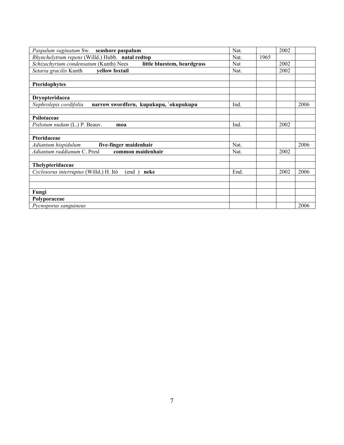| Paspalum vaginatum Sw. seashore paspalum                              | Nat. |      | 2002 |      |
|-----------------------------------------------------------------------|------|------|------|------|
| Rhynchelytrum repens (Willd.) Hubb. natal redtop                      | Nat. | 1965 |      |      |
| Schizachyrium condensatum (Kunth) Nees<br>little bluestem, beardgrass | Nat  |      | 2002 |      |
| vellow foxtail<br>Setaria gracilis Kunth                              | Nat. |      | 2002 |      |
|                                                                       |      |      |      |      |
| Pteridophytes                                                         |      |      |      |      |
|                                                                       |      |      |      |      |
| Dryopteridacea                                                        |      |      |      |      |
| Nephrolepis cordifolia<br>narrow swordfern, kupukupu, `okupukupu      | Ind. |      |      | 2006 |
|                                                                       |      |      |      |      |
| <b>Psilotaceae</b>                                                    |      |      |      |      |
| Psilotum nudum (L.) P. Beauv.<br>moa                                  | Ind. |      | 2002 |      |
|                                                                       |      |      |      |      |
| Pteridaceae                                                           |      |      |      |      |
| five-finger maidenhair<br>Adiantum hispidulum                         | Nat. |      |      | 2006 |
| Adiantum raddianum C. Presl<br>common maidenhair                      | Nat. |      | 2002 |      |
|                                                                       |      |      |      |      |
| Thelypteridaceae                                                      |      |      |      |      |
| Cyclosorus interruptus (Willd.) H. Itô<br>neke<br>(end                | End. |      | 2002 | 2006 |
|                                                                       |      |      |      |      |
|                                                                       |      |      |      |      |
| Fungi                                                                 |      |      |      |      |
| Polyporaceae                                                          |      |      |      |      |
| Pycnoporus sanguineus                                                 |      |      |      | 2006 |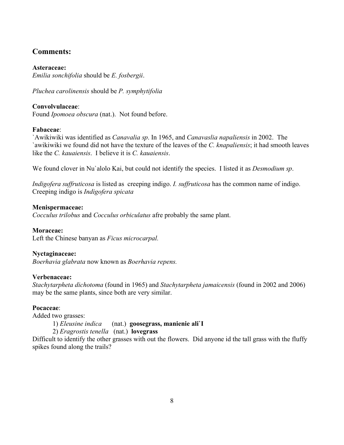# **Comments:**

**Asteraceae:** *Emilia sonchifolia* should be *E. fosbergii*.

*Pluchea carolinensis* should be *P. symphytifolia*

## **Convolvulaceae**:

Found *Ipomoea obscura* (nat.). Not found before.

## **Fabaceae**:

`Awikiwiki was identified as *Canavalia sp*. In 1965, and *Canavaslia napaliensis* in 2002. The `awikiwiki we found did not have the texture of the leaves of the *C. knapaliensis*; it had smooth leaves like the *C. kauaiensis*. I believe it is *C. kauaiensis*.

We found clover in Nu`alolo Kai, but could not identify the species. I listed it as *Desmodium sp*.

*Indigofera suffruticosa* is listed as creeping indigo. *I. suffruticosa* has the common name of indigo. Creeping indigo is *Indigofera spicata*

## **Menispermaceae:**

*Cocculus trilobus* and *Cocculus orbiculatus* afre probably the same plant.

## **Moraceae:**

Left the Chinese banyan as *Ficus microcarpal.*

## **Nyctaginaceae:**

*Boerhavia glabrata* now known as *Boerhavia repens.*

## **Verbenaceae:**

*Stachytarpheta dichotoma* (found in 1965) and *Stachytarpheta jamaicensis* (found in 2002 and 2006) may be the same plants, since both are very similar.

## **Pocaceae**:

Added two grasses:

1) *Eleusine indica* (nat.) **goosegrass, manienie ali`I**

2) *Eragrostis tenella* (nat.) **lovegrass**

Difficult to identify the other grasses with out the flowers. Did anyone id the tall grass with the fluffy spikes found along the trails?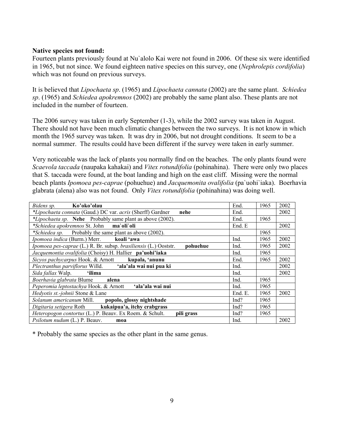#### **Native species not found:**

Fourteen plants previously found at Nu`alolo Kai were not found in 2006. Of these six were identified in 1965, but not since. We found eighteen native species on this survey, one (*Nephrolepis cordifolia*) which was not found on previous surveys.

It is believed that *Lipochaeta sp*. (1965) and *Lipochaeta cannata* (2002) are the same plant. *Schiedea sp*. (1965) and *Schiedea apokremnos* (2002) are probably the same plant also. These plants are not included in the number of fourteen.

The 2006 survey was taken in early September (1-3), while the 2002 survey was taken in August. There should not have been much climatic changes between the two surveys. It is not know in which month the 1965 survey was taken. It was dry in 2006, but not drought conditions. It seem to be a normal summer. The results could have been different if the survey were taken in early summer.

Very noticeable was the lack of plants you normally find on the beaches. The only plants found were *Scaevola taccada* (naupaka kahakai) and *Vitex rotundifolia* (pohinahina). There were only two places that S. taccada were found, at the boat landing and high on the east cliff. Missing were the normal beach plants *Ipomoea pes-caprae* (pohuehue) and *Jacquemonita ovalifolia* (pa`uohi`iaka). Boerhavia glabrata (alena) also was not found. Only *Vitex rotundifolia* (pohinahina) was doing well.

| Bidens sp. Ko'oko'olau                                                       | End.    | 1965 | 2002 |
|------------------------------------------------------------------------------|---------|------|------|
| *Lipochaeta connata (Gaud.) DC var. acris (Sherff) Gardner<br>nehe           | End.    |      | 2002 |
| *Lipochaeta sp. Nehe Probably same plant as above (2002).                    | End.    | 1965 |      |
| <i>*Schiedea apokremnos St. John</i> ma`oli`oli                              | End. E  |      | 2002 |
| <i>*Schiedea sp.</i> Probably the same plant as above (2002).                |         | 1965 |      |
| Ipomoea indica (Burm.) Merr. koali 'awa                                      | Ind.    | 1965 | 2002 |
| Ipomoea pes-caprae (L.) R. Br. subsp. brasiliensis (L.) Ooststr.<br>pohuehue | Ind.    | 1965 | 2002 |
| Jacquemontia ovalifolia (Choisy) H. Hallier pa'uohi'iaka                     | Ind.    | 1965 |      |
| Sicyos pachycarpus Hook. & Arnott<br>kupala, 'anunu                          | End.    | 1965 | 2002 |
| Plectranthus parviflorus Willd. 'ala'ala wai nui pua ki                      | Ind.    |      | 2002 |
| Sida fallax Walp. <b>'ilima</b>                                              | Ind.    |      | 2002 |
| Boerhavia glabrata Blume<br>alena                                            | Ind.    | 1965 |      |
| Peperomia leptostachya Hook. & Arnott<br>ʻala'ala wai nui                    | Ind.    | 1965 |      |
| Hedyotis st.-johnii Stone & Lane                                             | End. E. | 1965 | 2002 |
| Solanum americanum Mill.<br>popolo, glossy nightshade                        | Ind?    | 1965 |      |
| kukaipua'a, itchy crabgrass<br>Digitaria setigera Roth                       | Ind?    | 1965 |      |
| Heteropogon contortus (L.) P. Beauv. Ex Roem. & Schult.<br>pili grass        | Ind?    | 1965 |      |
| Psilotum nudum (L.) P. Beauv.<br>moa                                         | Ind.    |      | 2002 |

\* Probably the same species as the other plant in the same genus.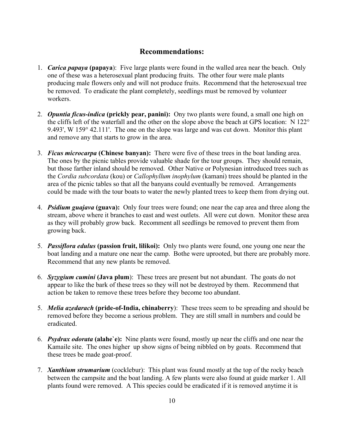# **Recommendations:**

- 1. *Carica papaya* **(papaya**): Five large plants were found in the walled area near the beach. Only one of these was a heterosexual plant producing fruits. The other four were male plants producing male flowers only and will not produce fruits. Recommend that the heterosexual tree be removed. To eradicate the plant completely, seedlings must be removed by volunteer workers.
- 2. *Opuntia ficus-indica* **(prickly pear, panini):** Ony two plants were found, a small one high on the cliffs left of the waterfall and the other on the slope above the beach at GPS location: N 122° 9.493', W 159° 42.111'. The one on the slope was large and was cut down. Monitor this plant and remove any that starts to grow in the area.
- 3. *Ficus microcarpa* **(Chinese banyan):** There were five of these trees in the boat landing area. The ones by the picnic tables provide valuable shade for the tour groups. They should remain, but those farther inland should be removed. Other Native or Polynesian introduced trees such as the *Cordia subcordata* (kou) or *Callophyllum inophylum* (kamani) trees should be planted in the area of the picnic tables so that all the banyans could eventually be removed. Arrangements could be made with the tour boats to water the newly planted trees to keep them from drying out.
- 4. *Psidium guajava* **(guava):** Only four trees were found; one near the cap area and three along the stream, above where it branches to east and west outlets. All were cut down. Monitor these area as they will probably grow back. Recomment all seedlings be removed to prevent them from growing back.
- 5. *Passiflora edulus* **(passion fruit, lilikoi):** Only two plants were found, one young one near the boat landing and a mature one near the camp. Bothe were uprooted, but there are probably more. Recommend that any new plants be removed.
- 6. *Syzygium cumini* **(Java plum**): These trees are present but not abundant. The goats do not appear to like the bark of these trees so they will not be destroyed by them. Recommend that action be taken to remove these trees before they become too abundant.
- 5. *Melia azedarach* **(pride-of-India, chinaberry**): These trees seem to be spreading and should be removed before they become a serious problem. They are still small in numbers and could be eradicated.
- 6. *Psydrax odorata* **(alahe`e):** Nine plants were found, mostly up near the cliffs and one near the Kamaile site. The ones higher up show signs of being nibbled on by goats. Recommend that these trees be made goat-proof.
- 7. *Xanthium strumarium* (cocklebur): This plant was found mostly at the top of the rocky beach between the campsite and the boat landing. A few plants were also found at guide marker 1. All plants found were removed. A This species could be eradicated if it is removed anytime it is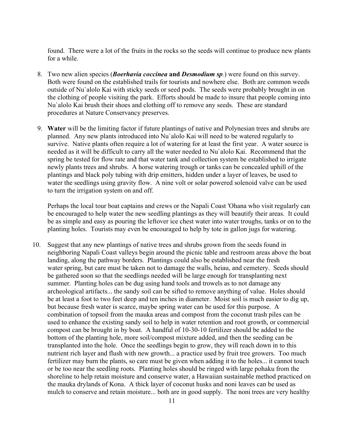found. There were a lot of the fruits in the rocks so the seeds will continue to produce new plants for a while.

- 8. Two new alien species (*Boerhavia coccinea* **and** *Desmodium sp.*) were found on this survey. Both were found on the established trails for tourists and nowhere else. Both are common weeds outside of Nu`alolo Kai with sticky seeds or seed pods. The seeds were probably brought in on the clothing of people visiting the park. Efforts should be made to insure that people coming into Nu`alolo Kai brush their shoes and clothing off to remove any seeds. These are standard procedures at Nature Conservancy preserves.
- 9. **Water** will be the limiting factor if future plantings of native and Polynesian trees and shrubs are planned. Any new plants introduced into Nu`alolo Kai will need to be watered regularly to survive. Native plants often require a lot of watering for at least the first year. A water source is needed as it will be difficult to carry all the water needed to Nu`alolo Kai. Recommend that the spring be tested for flow rate and that water tank and collection system be established to irrigate newly plants trees and shrubs. A horse watering trough or tanks can be concealed uphill of the plantings and black poly tubing with drip emitters, hidden under a layer of leaves, be used to water the seedlings using gravity flow. A nine volt or solar powered solenoid valve can be used to turn the irrigation system on and off.

Perhaps the local tour boat captains and crews or the Napali Coast 'Ohana who visit regularly can be encouraged to help water the new seedling plantings as they will beautify their areas. It could be as simple and easy as pouring the leftover ice chest water into water troughs, tanks or on to the planting holes. Tourists may even be encouraged to help by tote in gallon jugs for watering.

10. Suggest that any new plantings of native trees and shrubs grown from the seeds found in neighboring Napali Coast valleys begin around the picnic table and restroom areas above the boat landing, along the pathway borders. Plantings could also be established near the fresh water spring, but care must be taken not to damage the walls, heiau, and cemetery. Seeds should be gathered soon so that the seedlings needed will be large enough for transplanting next summer. Planting holes can be dug using hand tools and trowels as to not damage any archeological artifacts... the sandy soil can be sifted to remove anything of value. Holes should be at least a foot to two feet deep and ten inches in diameter. Moist soil is much easier to dig up, but because fresh water is scarce, maybe spring water can be used for this purpose. A combination of topsoil from the mauka areas and compost from the coconut trash piles can be used to enhance the existing sandy soil to help in water retention and root growth, or commercial compost can be brought in by boat. A handful of 10-30-10 fertilizer should be added to the bottom of the planting hole, more soil/compost mixture added, and then the seeding can be transplanted into the hole. Once the seedlings begin to grow, they will reach down in to this nutrient rich layer and flush with new growth... a practice used by fruit tree growers. Too much fertilizer may burn the plants, so care must be given when adding it to the holes... it cannot touch or be too near the seedling roots. Planting holes should be ringed with large pohaku from the shoreline to help retain moisture and conserve water, a Hawaiian sustainable method practiced on the mauka drylands of Kona. A thick layer of coconut husks and noni leaves can be used as mulch to conserve and retain moisture... both are in good supply. The noni trees are very healthy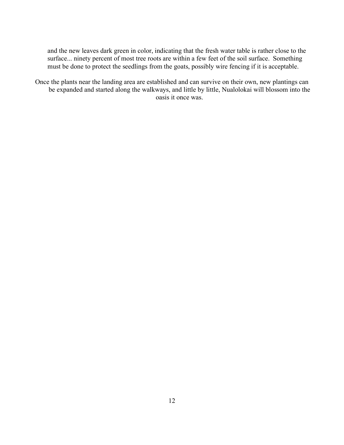and the new leaves dark green in color, indicating that the fresh water table is rather close to the surface... ninety percent of most tree roots are within a few feet of the soil surface. Something must be done to protect the seedlings from the goats, possibly wire fencing if it is acceptable.

Once the plants near the landing area are established and can survive on their own, new plantings can be expanded and started along the walkways, and little by little, Nualolokai will blossom into the oasis it once was.